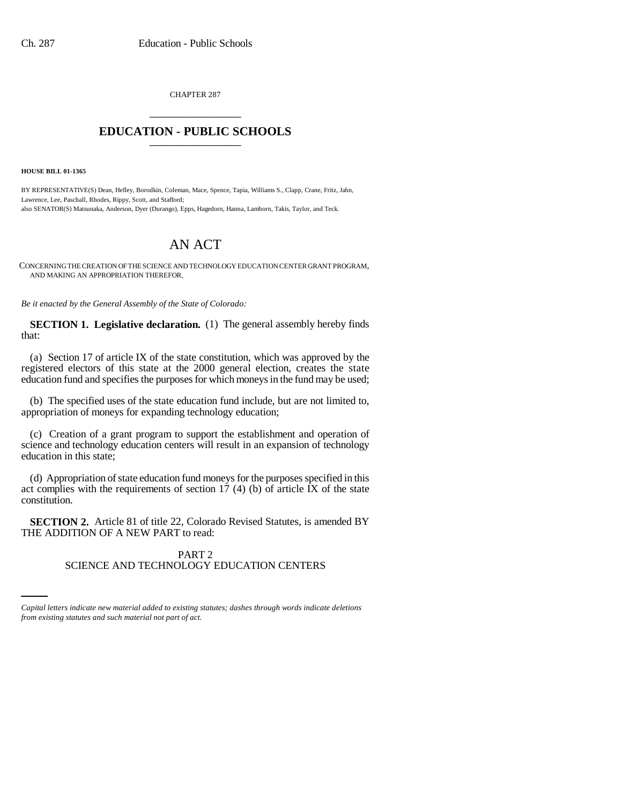CHAPTER 287 \_\_\_\_\_\_\_\_\_\_\_\_\_\_\_

## **EDUCATION - PUBLIC SCHOOLS** \_\_\_\_\_\_\_\_\_\_\_\_\_\_\_

**HOUSE BILL 01-1365**

BY REPRESENTATIVE(S) Dean, Hefley, Borodkin, Coleman, Mace, Spence, Tapia, Williams S., Clapp, Crane, Fritz, Jahn, Lawrence, Lee, Paschall, Rhodes, Rippy, Scott, and Stafford; also SENATOR(S) Matsunaka, Anderson, Dyer (Durango), Epps, Hagedorn, Hanna, Lamborn, Takis, Taylor, and Teck.

## AN ACT

CONCERNING THE CREATION OF THE SCIENCE AND TECHNOLOGY EDUCATION CENTER GRANT PROGRAM, AND MAKING AN APPROPRIATION THEREFOR.

*Be it enacted by the General Assembly of the State of Colorado:*

**SECTION 1. Legislative declaration.** (1) The general assembly hereby finds that:

(a) Section 17 of article IX of the state constitution, which was approved by the registered electors of this state at the 2000 general election, creates the state education fund and specifies the purposes for which moneys in the fund may be used;

(b) The specified uses of the state education fund include, but are not limited to, appropriation of moneys for expanding technology education;

(c) Creation of a grant program to support the establishment and operation of science and technology education centers will result in an expansion of technology education in this state;

(d) Appropriation of state education fund moneys for the purposes specified in this act complies with the requirements of section  $17$  (4) (b) of article IX of the state constitution.

**SECTION 2.** Article 81 of title 22, Colorado Revised Statutes, is amended BY THE ADDITION OF A NEW PART to read:

## PART 2 SCIENCE AND TECHNOLOGY EDUCATION CENTERS

*Capital letters indicate new material added to existing statutes; dashes through words indicate deletions from existing statutes and such material not part of act.*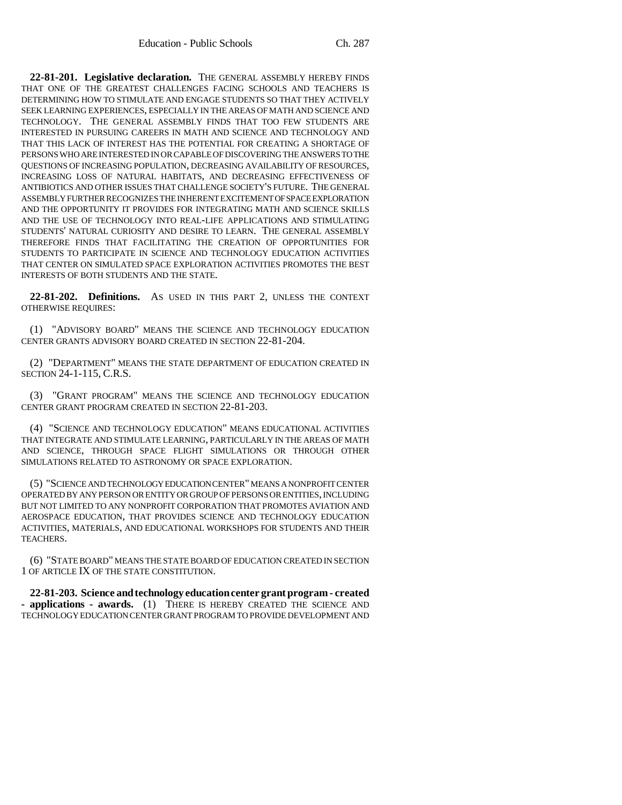**22-81-201. Legislative declaration.** THE GENERAL ASSEMBLY HEREBY FINDS THAT ONE OF THE GREATEST CHALLENGES FACING SCHOOLS AND TEACHERS IS DETERMINING HOW TO STIMULATE AND ENGAGE STUDENTS SO THAT THEY ACTIVELY SEEK LEARNING EXPERIENCES, ESPECIALLY IN THE AREAS OF MATH AND SCIENCE AND TECHNOLOGY. THE GENERAL ASSEMBLY FINDS THAT TOO FEW STUDENTS ARE INTERESTED IN PURSUING CAREERS IN MATH AND SCIENCE AND TECHNOLOGY AND THAT THIS LACK OF INTEREST HAS THE POTENTIAL FOR CREATING A SHORTAGE OF PERSONS WHO ARE INTERESTED IN OR CAPABLE OF DISCOVERING THE ANSWERS TO THE QUESTIONS OF INCREASING POPULATION, DECREASING AVAILABILITY OF RESOURCES, INCREASING LOSS OF NATURAL HABITATS, AND DECREASING EFFECTIVENESS OF ANTIBIOTICS AND OTHER ISSUES THAT CHALLENGE SOCIETY'S FUTURE. THE GENERAL ASSEMBLY FURTHER RECOGNIZES THE INHERENT EXCITEMENT OF SPACE EXPLORATION AND THE OPPORTUNITY IT PROVIDES FOR INTEGRATING MATH AND SCIENCE SKILLS AND THE USE OF TECHNOLOGY INTO REAL-LIFE APPLICATIONS AND STIMULATING STUDENTS' NATURAL CURIOSITY AND DESIRE TO LEARN. THE GENERAL ASSEMBLY THEREFORE FINDS THAT FACILITATING THE CREATION OF OPPORTUNITIES FOR STUDENTS TO PARTICIPATE IN SCIENCE AND TECHNOLOGY EDUCATION ACTIVITIES THAT CENTER ON SIMULATED SPACE EXPLORATION ACTIVITIES PROMOTES THE BEST INTERESTS OF BOTH STUDENTS AND THE STATE.

**22-81-202. Definitions.** AS USED IN THIS PART 2, UNLESS THE CONTEXT OTHERWISE REQUIRES:

(1) "ADVISORY BOARD" MEANS THE SCIENCE AND TECHNOLOGY EDUCATION CENTER GRANTS ADVISORY BOARD CREATED IN SECTION 22-81-204.

(2) "DEPARTMENT" MEANS THE STATE DEPARTMENT OF EDUCATION CREATED IN SECTION 24-1-115, C.R.S.

(3) "GRANT PROGRAM" MEANS THE SCIENCE AND TECHNOLOGY EDUCATION CENTER GRANT PROGRAM CREATED IN SECTION 22-81-203.

(4) "SCIENCE AND TECHNOLOGY EDUCATION" MEANS EDUCATIONAL ACTIVITIES THAT INTEGRATE AND STIMULATE LEARNING, PARTICULARLY IN THE AREAS OF MATH AND SCIENCE, THROUGH SPACE FLIGHT SIMULATIONS OR THROUGH OTHER SIMULATIONS RELATED TO ASTRONOMY OR SPACE EXPLORATION.

(5) "SCIENCE AND TECHNOLOGY EDUCATION CENTER" MEANS A NONPROFIT CENTER OPERATED BY ANY PERSON OR ENTITY OR GROUP OF PERSONS OR ENTITIES, INCLUDING BUT NOT LIMITED TO ANY NONPROFIT CORPORATION THAT PROMOTES AVIATION AND AEROSPACE EDUCATION, THAT PROVIDES SCIENCE AND TECHNOLOGY EDUCATION ACTIVITIES, MATERIALS, AND EDUCATIONAL WORKSHOPS FOR STUDENTS AND THEIR TEACHERS.

(6) "STATE BOARD" MEANS THE STATE BOARD OF EDUCATION CREATED IN SECTION 1 OF ARTICLE IX OF THE STATE CONSTITUTION.

**22-81-203. Science and technology education center grant program - created - applications - awards.** (1) THERE IS HEREBY CREATED THE SCIENCE AND TECHNOLOGY EDUCATION CENTER GRANT PROGRAM TO PROVIDE DEVELOPMENT AND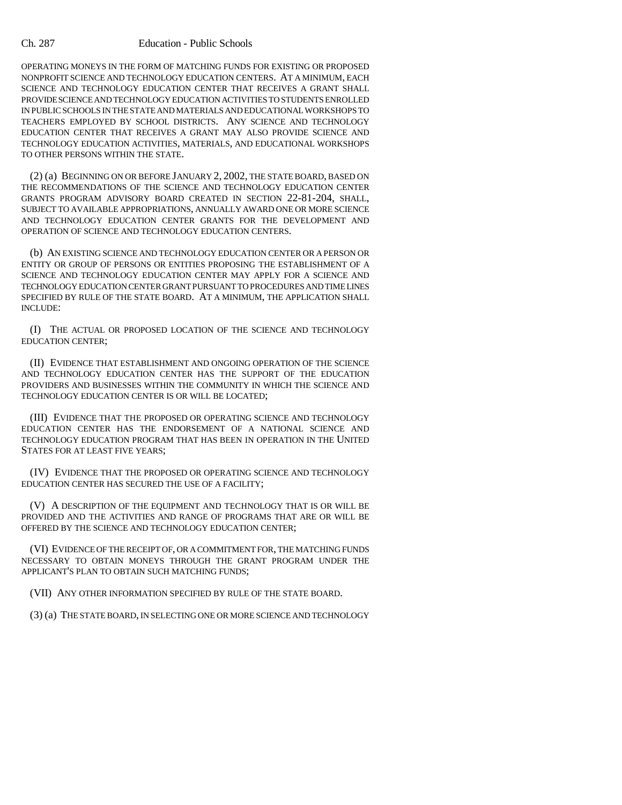## Ch. 287 Education - Public Schools

OPERATING MONEYS IN THE FORM OF MATCHING FUNDS FOR EXISTING OR PROPOSED NONPROFIT SCIENCE AND TECHNOLOGY EDUCATION CENTERS. AT A MINIMUM, EACH SCIENCE AND TECHNOLOGY EDUCATION CENTER THAT RECEIVES A GRANT SHALL PROVIDE SCIENCE AND TECHNOLOGY EDUCATION ACTIVITIES TO STUDENTS ENROLLED IN PUBLIC SCHOOLS IN THE STATE AND MATERIALS AND EDUCATIONAL WORKSHOPS TO TEACHERS EMPLOYED BY SCHOOL DISTRICTS. ANY SCIENCE AND TECHNOLOGY EDUCATION CENTER THAT RECEIVES A GRANT MAY ALSO PROVIDE SCIENCE AND TECHNOLOGY EDUCATION ACTIVITIES, MATERIALS, AND EDUCATIONAL WORKSHOPS TO OTHER PERSONS WITHIN THE STATE.

(2) (a) BEGINNING ON OR BEFORE JANUARY 2, 2002, THE STATE BOARD, BASED ON THE RECOMMENDATIONS OF THE SCIENCE AND TECHNOLOGY EDUCATION CENTER GRANTS PROGRAM ADVISORY BOARD CREATED IN SECTION 22-81-204, SHALL, SUBJECT TO AVAILABLE APPROPRIATIONS, ANNUALLY AWARD ONE OR MORE SCIENCE AND TECHNOLOGY EDUCATION CENTER GRANTS FOR THE DEVELOPMENT AND OPERATION OF SCIENCE AND TECHNOLOGY EDUCATION CENTERS.

(b) AN EXISTING SCIENCE AND TECHNOLOGY EDUCATION CENTER OR A PERSON OR ENTITY OR GROUP OF PERSONS OR ENTITIES PROPOSING THE ESTABLISHMENT OF A SCIENCE AND TECHNOLOGY EDUCATION CENTER MAY APPLY FOR A SCIENCE AND TECHNOLOGY EDUCATION CENTER GRANT PURSUANT TO PROCEDURES AND TIME LINES SPECIFIED BY RULE OF THE STATE BOARD. AT A MINIMUM, THE APPLICATION SHALL INCLUDE:

(I) THE ACTUAL OR PROPOSED LOCATION OF THE SCIENCE AND TECHNOLOGY EDUCATION CENTER;

(II) EVIDENCE THAT ESTABLISHMENT AND ONGOING OPERATION OF THE SCIENCE AND TECHNOLOGY EDUCATION CENTER HAS THE SUPPORT OF THE EDUCATION PROVIDERS AND BUSINESSES WITHIN THE COMMUNITY IN WHICH THE SCIENCE AND TECHNOLOGY EDUCATION CENTER IS OR WILL BE LOCATED;

(III) EVIDENCE THAT THE PROPOSED OR OPERATING SCIENCE AND TECHNOLOGY EDUCATION CENTER HAS THE ENDORSEMENT OF A NATIONAL SCIENCE AND TECHNOLOGY EDUCATION PROGRAM THAT HAS BEEN IN OPERATION IN THE UNITED STATES FOR AT LEAST FIVE YEARS;

(IV) EVIDENCE THAT THE PROPOSED OR OPERATING SCIENCE AND TECHNOLOGY EDUCATION CENTER HAS SECURED THE USE OF A FACILITY;

(V) A DESCRIPTION OF THE EQUIPMENT AND TECHNOLOGY THAT IS OR WILL BE PROVIDED AND THE ACTIVITIES AND RANGE OF PROGRAMS THAT ARE OR WILL BE OFFERED BY THE SCIENCE AND TECHNOLOGY EDUCATION CENTER;

(VI) EVIDENCE OF THE RECEIPT OF, OR A COMMITMENT FOR, THE MATCHING FUNDS NECESSARY TO OBTAIN MONEYS THROUGH THE GRANT PROGRAM UNDER THE APPLICANT'S PLAN TO OBTAIN SUCH MATCHING FUNDS;

(VII) ANY OTHER INFORMATION SPECIFIED BY RULE OF THE STATE BOARD.

(3) (a) THE STATE BOARD, IN SELECTING ONE OR MORE SCIENCE AND TECHNOLOGY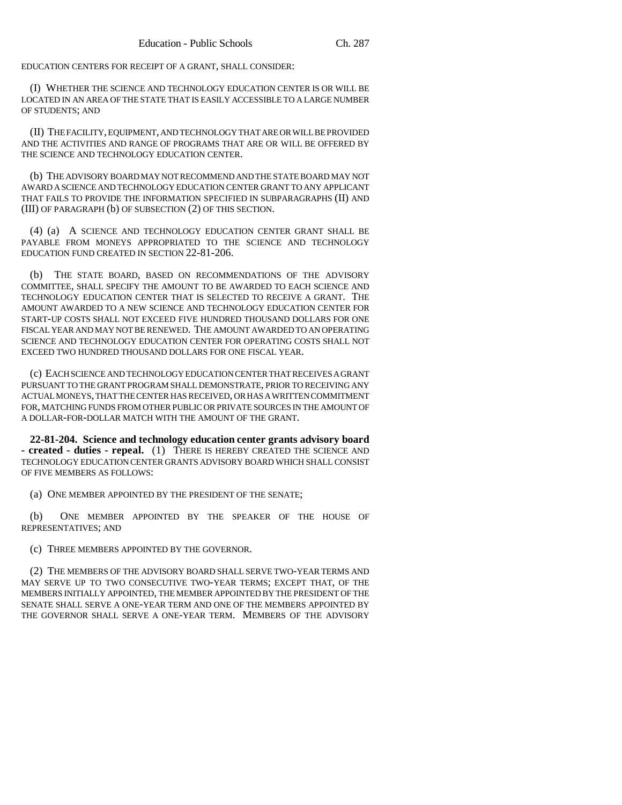EDUCATION CENTERS FOR RECEIPT OF A GRANT, SHALL CONSIDER:

(I) WHETHER THE SCIENCE AND TECHNOLOGY EDUCATION CENTER IS OR WILL BE LOCATED IN AN AREA OF THE STATE THAT IS EASILY ACCESSIBLE TO A LARGE NUMBER OF STUDENTS; AND

(II) THE FACILITY, EQUIPMENT, AND TECHNOLOGY THAT ARE OR WILL BE PROVIDED AND THE ACTIVITIES AND RANGE OF PROGRAMS THAT ARE OR WILL BE OFFERED BY THE SCIENCE AND TECHNOLOGY EDUCATION CENTER.

(b) THE ADVISORY BOARD MAY NOT RECOMMEND AND THE STATE BOARD MAY NOT AWARD A SCIENCE AND TECHNOLOGY EDUCATION CENTER GRANT TO ANY APPLICANT THAT FAILS TO PROVIDE THE INFORMATION SPECIFIED IN SUBPARAGRAPHS (II) AND (III) OF PARAGRAPH (b) OF SUBSECTION (2) OF THIS SECTION.

(4) (a) A SCIENCE AND TECHNOLOGY EDUCATION CENTER GRANT SHALL BE PAYABLE FROM MONEYS APPROPRIATED TO THE SCIENCE AND TECHNOLOGY EDUCATION FUND CREATED IN SECTION 22-81-206.

(b) THE STATE BOARD, BASED ON RECOMMENDATIONS OF THE ADVISORY COMMITTEE, SHALL SPECIFY THE AMOUNT TO BE AWARDED TO EACH SCIENCE AND TECHNOLOGY EDUCATION CENTER THAT IS SELECTED TO RECEIVE A GRANT. THE AMOUNT AWARDED TO A NEW SCIENCE AND TECHNOLOGY EDUCATION CENTER FOR START-UP COSTS SHALL NOT EXCEED FIVE HUNDRED THOUSAND DOLLARS FOR ONE FISCAL YEAR AND MAY NOT BE RENEWED. THE AMOUNT AWARDED TO AN OPERATING SCIENCE AND TECHNOLOGY EDUCATION CENTER FOR OPERATING COSTS SHALL NOT EXCEED TWO HUNDRED THOUSAND DOLLARS FOR ONE FISCAL YEAR.

(c) EACH SCIENCE AND TECHNOLOGY EDUCATION CENTER THAT RECEIVES A GRANT PURSUANT TO THE GRANT PROGRAM SHALL DEMONSTRATE, PRIOR TO RECEIVING ANY ACTUAL MONEYS, THAT THE CENTER HAS RECEIVED, OR HAS A WRITTEN COMMITMENT FOR, MATCHING FUNDS FROM OTHER PUBLIC OR PRIVATE SOURCES IN THE AMOUNT OF A DOLLAR-FOR-DOLLAR MATCH WITH THE AMOUNT OF THE GRANT.

**22-81-204. Science and technology education center grants advisory board - created - duties - repeal.** (1) THERE IS HEREBY CREATED THE SCIENCE AND TECHNOLOGY EDUCATION CENTER GRANTS ADVISORY BOARD WHICH SHALL CONSIST OF FIVE MEMBERS AS FOLLOWS:

(a) ONE MEMBER APPOINTED BY THE PRESIDENT OF THE SENATE;

(b) ONE MEMBER APPOINTED BY THE SPEAKER OF THE HOUSE OF REPRESENTATIVES; AND

(c) THREE MEMBERS APPOINTED BY THE GOVERNOR.

(2) THE MEMBERS OF THE ADVISORY BOARD SHALL SERVE TWO-YEAR TERMS AND MAY SERVE UP TO TWO CONSECUTIVE TWO-YEAR TERMS; EXCEPT THAT, OF THE MEMBERS INITIALLY APPOINTED, THE MEMBER APPOINTED BY THE PRESIDENT OF THE SENATE SHALL SERVE A ONE-YEAR TERM AND ONE OF THE MEMBERS APPOINTED BY THE GOVERNOR SHALL SERVE A ONE-YEAR TERM. MEMBERS OF THE ADVISORY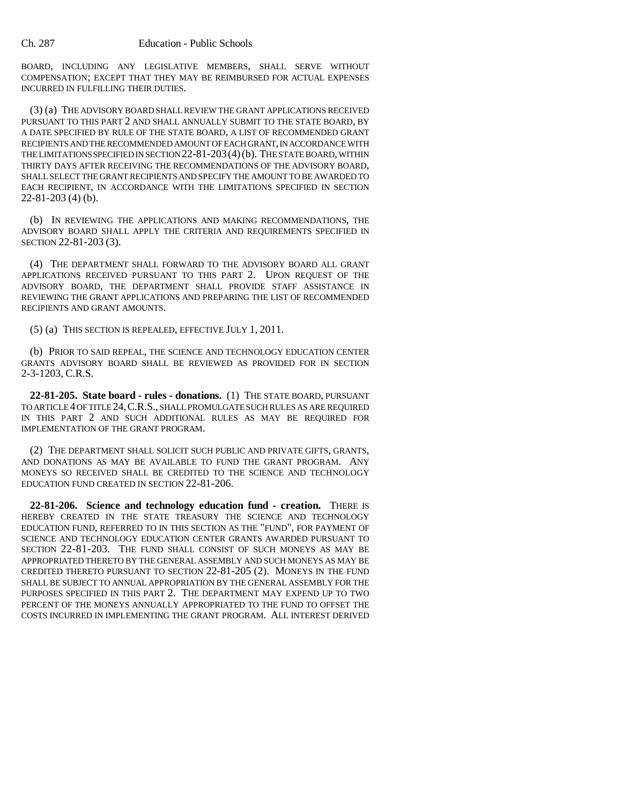BOARD, INCLUDING ANY LEGISLATIVE MEMBERS, SHALL SERVE WITHOUT COMPENSATION; EXCEPT THAT THEY MAY BE REIMBURSED FOR ACTUAL EXPENSES INCURRED IN FULFILLING THEIR DUTIES.

(3) (a) THE ADVISORY BOARD SHALL REVIEW THE GRANT APPLICATIONS RECEIVED PURSUANT TO THIS PART 2 AND SHALL ANNUALLY SUBMIT TO THE STATE BOARD, BY A DATE SPECIFIED BY RULE OF THE STATE BOARD, A LIST OF RECOMMENDED GRANT RECIPIENTS AND THE RECOMMENDED AMOUNT OF EACH GRANT, IN ACCORDANCE WITH THE LIMITATIONS SPECIFIED IN SECTION 22-81-203(4)(b). THE STATE BOARD, WITHIN THIRTY DAYS AFTER RECEIVING THE RECOMMENDATIONS OF THE ADVISORY BOARD, SHALL SELECT THE GRANT RECIPIENTS AND SPECIFY THE AMOUNT TO BE AWARDED TO EACH RECIPIENT, IN ACCORDANCE WITH THE LIMITATIONS SPECIFIED IN SECTION 22-81-203 (4) (b).

(b) IN REVIEWING THE APPLICATIONS AND MAKING RECOMMENDATIONS, THE ADVISORY BOARD SHALL APPLY THE CRITERIA AND REQUIREMENTS SPECIFIED IN SECTION 22-81-203 (3).

(4) THE DEPARTMENT SHALL FORWARD TO THE ADVISORY BOARD ALL GRANT APPLICATIONS RECEIVED PURSUANT TO THIS PART 2. UPON REQUEST OF THE ADVISORY BOARD, THE DEPARTMENT SHALL PROVIDE STAFF ASSISTANCE IN REVIEWING THE GRANT APPLICATIONS AND PREPARING THE LIST OF RECOMMENDED RECIPIENTS AND GRANT AMOUNTS.

(5) (a) THIS SECTION IS REPEALED, EFFECTIVE JULY 1, 2011.

(b) PRIOR TO SAID REPEAL, THE SCIENCE AND TECHNOLOGY EDUCATION CENTER GRANTS ADVISORY BOARD SHALL BE REVIEWED AS PROVIDED FOR IN SECTION 2-3-1203, C.R.S.

**22-81-205. State board - rules - donations.** (1) THE STATE BOARD, PURSUANT TO ARTICLE 4 OF TITLE 24,C.R.S., SHALL PROMULGATE SUCH RULES AS ARE REQUIRED IN THIS PART 2 AND SUCH ADDITIONAL RULES AS MAY BE REQUIRED FOR IMPLEMENTATION OF THE GRANT PROGRAM.

(2) THE DEPARTMENT SHALL SOLICIT SUCH PUBLIC AND PRIVATE GIFTS, GRANTS, AND DONATIONS AS MAY BE AVAILABLE TO FUND THE GRANT PROGRAM. ANY MONEYS SO RECEIVED SHALL BE CREDITED TO THE SCIENCE AND TECHNOLOGY EDUCATION FUND CREATED IN SECTION 22-81-206.

**22-81-206. Science and technology education fund - creation.** THERE IS HEREBY CREATED IN THE STATE TREASURY THE SCIENCE AND TECHNOLOGY EDUCATION FUND, REFERRED TO IN THIS SECTION AS THE "FUND", FOR PAYMENT OF SCIENCE AND TECHNOLOGY EDUCATION CENTER GRANTS AWARDED PURSUANT TO SECTION 22-81-203. THE FUND SHALL CONSIST OF SUCH MONEYS AS MAY BE APPROPRIATED THERETO BY THE GENERAL ASSEMBLY AND SUCH MONEYS AS MAY BE CREDITED THERETO PURSUANT TO SECTION 22-81-205 (2). MONEYS IN THE FUND SHALL BE SUBJECT TO ANNUAL APPROPRIATION BY THE GENERAL ASSEMBLY FOR THE PURPOSES SPECIFIED IN THIS PART 2. THE DEPARTMENT MAY EXPEND UP TO TWO PERCENT OF THE MONEYS ANNUALLY APPROPRIATED TO THE FUND TO OFFSET THE COSTS INCURRED IN IMPLEMENTING THE GRANT PROGRAM. ALL INTEREST DERIVED